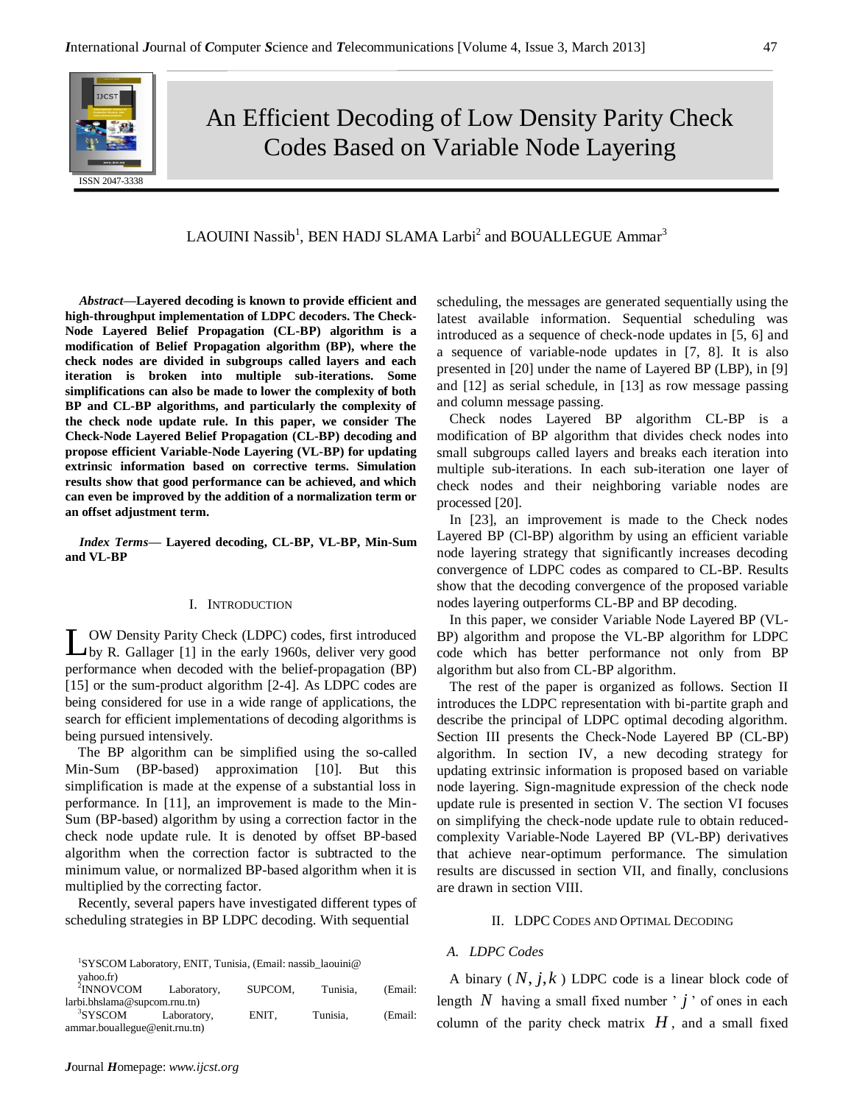

An Efficient Decoding of Low Density Parity Check Codes Based on Variable Node Layering

# $\rm LAOUINI$   $\rm Nasib^1,$   $\rm BEN$   $\rm HADI$   $\rm SLAMA$   $\rm Larbi^2$  and  $\rm BOUALLEGUE$   $\rm Ammar^3$

*Abstract***—Layered decoding is known to provide efficient and high-throughput implementation of LDPC decoders. The Check-Node Layered Belief Propagation (CL-BP) algorithm is a modification of Belief Propagation algorithm (BP), where the check nodes are divided in subgroups called layers and each iteration is broken into multiple sub-iterations. Some simplifications can also be made to lower the complexity of both BP and CL-BP algorithms, and particularly the complexity of the check node update rule. In this paper, we consider The Check-Node Layered Belief Propagation (CL-BP) decoding and propose efficient Variable-Node Layering (VL-BP) for updating extrinsic information based on corrective terms. Simulation results show that good performance can be achieved, and which can even be improved by the addition of a normalization term or an offset adjustment term.**

*Index Terms***— Layered decoding, CL-BP, VL-BP, Min-Sum and VL-BP**

### I. INTRODUCTION

OW Density Parity Check (LDPC) codes, first introduced L OW Density Parity Check (LDPC) codes, first introduced<br>by R. Gallager [1] in the early 1960s, deliver very good performance when decoded with the belief-propagation (BP) [15] or the sum-product algorithm [2-4]. As LDPC codes are being considered for use in a wide range of applications, the search for efficient implementations of decoding algorithms is being pursued intensively.

The BP algorithm can be simplified using the so-called Min-Sum (BP-based) approximation [10]. But this simplification is made at the expense of a substantial loss in performance. In [11], an improvement is made to the Min-Sum (BP-based) algorithm by using a correction factor in the check node update rule. It is denoted by offset BP-based algorithm when the correction factor is subtracted to the minimum value, or normalized BP-based algorithm when it is multiplied by the correcting factor.

Recently, several papers have investigated different types of scheduling strategies in BP LDPC decoding. With sequential

<sup>&</sup>lt;sup>1</sup>SYSCOM Laboratory, ENIT, Tunisia, (Email: nassib\_laouini@

| <sup>2</sup> INNOVCOM         | Laboratory, | SUPCOM. | Tunisia. | (Email: |
|-------------------------------|-------------|---------|----------|---------|
| larbi.bhslama@supcom.rnu.th)  |             |         |          |         |
| <sup>3</sup> SYSCOM           | Laboratory. | ENIT.   | Tunisia. | (Email: |
| ammar.bouallegue@enit.rnu.tn) |             |         |          |         |

scheduling, the messages are generated sequentially using the latest available information. Sequential scheduling was introduced as a sequence of check-node updates in [5, 6] and a sequence of variable-node updates in [7, 8]. It is also presented in [20] under the name of Layered BP (LBP), in [9] and [12] as serial schedule, in [13] as row message passing and column message passing.

Check nodes Layered BP algorithm CL-BP is a modification of BP algorithm that divides check nodes into small subgroups called layers and breaks each iteration into multiple sub-iterations. In each sub-iteration one layer of check nodes and their neighboring variable nodes are processed [20].

In [23], an improvement is made to the Check nodes Layered BP (Cl-BP) algorithm by using an efficient variable node layering strategy that significantly increases decoding convergence of LDPC codes as compared to CL-BP. Results show that the decoding convergence of the proposed variable nodes layering outperforms CL-BP and BP decoding.

In this paper, we consider Variable Node Layered BP (VL-BP) algorithm and propose the VL-BP algorithm for LDPC code which has better performance not only from BP algorithm but also from CL-BP algorithm.

The rest of the paper is organized as follows. Section II introduces the LDPC representation with bi-partite graph and describe the principal of LDPC optimal decoding algorithm. Section III presents the Check-Node Layered BP (CL-BP) algorithm. In section IV, a new decoding strategy for updating extrinsic information is proposed based on variable node layering. Sign-magnitude expression of the check node update rule is presented in section V. The section VI focuses on simplifying the check-node update rule to obtain reducedcomplexity Variable-Node Layered BP (VL-BP) derivatives that achieve near-optimum performance. The simulation results are discussed in section VII, and finally, conclusions are drawn in section VIII.

#### II. LDPC CODES AND OPTIMAL DECODING

# *A. LDPC Codes*

A binary  $(N, j, k)$  LDPC code is a linear block code of length  $N$  having a small fixed number  $' j'$  of ones in each column of the parity check matrix  $H$ , and a small fixed

yahoo.fr)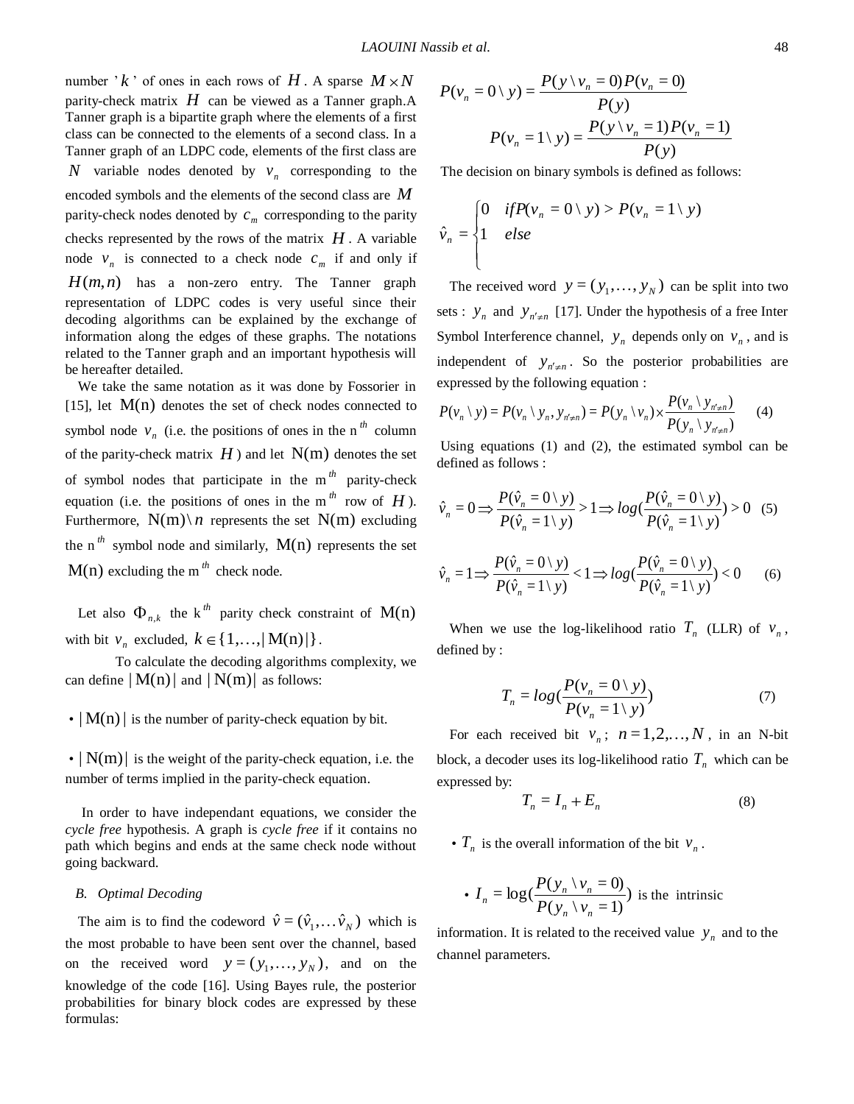number  $k'$  of ones in each rows of  $H$ . A sparse  $M \times N$ parity-check matrix *H* can be viewed as a Tanner graph.A Tanner graph is a bipartite graph where the elements of a first class can be connected to the elements of a second class. In a Tanner graph of an LDPC code, elements of the first class are *N* variable nodes denoted by  $v_n$  corresponding to the encoded symbols and the elements of the second class are *M* parity-check nodes denoted by  $c_m$  corresponding to the parity checks represented by the rows of the matrix  $H$ . A variable node  $v_n$  is connected to a check node  $c_m$  if and only if  $H(m, n)$  has a non-zero entry. The Tanner graph representation of LDPC codes is very useful since their decoding algorithms can be explained by the exchange of information along the edges of these graphs. The notations related to the Tanner graph and an important hypothesis will be hereafter detailed.

We take the same notation as it was done by Fossorier in [15], let  $M(n)$  denotes the set of check nodes connected to symbol node  $v_n$  (i.e. the positions of ones in the n<sup>th</sup> column of the parity-check matrix  $H$ ) and let  $N(m)$  denotes the set of symbol nodes that participate in the m *th* parity-check equation (i.e. the positions of ones in the m<sup>th</sup> row of  $H$ ). Furthermore,  $N(m) \nvert n$  represents the set  $N(m)$  excluding the n<sup>th</sup> symbol node and similarly,  $M(n)$  represents the set  $M(n)$  excluding the m<sup>th</sup> check node.

Let also  $\Phi_{n,k}$  the k<sup>th</sup> parity check constraint of M(n) with bit  $v_n$  excluded,  $k \in \{1,...,|M(n)|\}$ .

To calculate the decoding algorithms complexity, we can define  $|M(n)|$  and  $|N(m)|$  as follows:

 $\cdot | M(n) |$  is the number of parity-check equation by bit.

 $\cdot$   $|N(m)|$  is the weight of the parity-check equation, i.e. the number of terms implied in the parity-check equation.

In order to have independant equations, we consider the *cycle free* hypothesis. A graph is *cycle free* if it contains no path which begins and ends at the same check node without going backward.

#### *B. Optimal Decoding*

The aim is to find the codeword  $\hat{v} = (\hat{v}_1, \dots, \hat{v}_N)$  which is the most probable to have been sent over the channel, based on the received word  $y = (y_1, \dots, y_N)$ , and on the knowledge of the code [16]. Using Bayes rule, the posterior probabilities for binary block codes are expressed by these formulas:

$$
P(v_n = 0 \setminus y) = \frac{P(y \setminus v_n = 0) P(v_n = 0)}{P(y)}
$$

$$
P(v_n = 1 \setminus y) = \frac{P(y \setminus v_n = 1) P(v_n = 1)}{P(y)}
$$

The decision on binary symbols is defined as follows:

$$
\hat{v}_n = \begin{cases}\n0 & \text{if } P(v_n = 0 \setminus y) > P(v_n = 1 \setminus y) \\
1 & \text{else}\n\end{cases}
$$

The received word  $y = (y_1, \dots, y_N)$  can be split into two sets :  $y_n$  and  $y_{n' \neq n}$  [17]. Under the hypothesis of a free Inter Symbol Interference channel,  $y_n$  depends only on  $v_n$ , and is independent of  $y_{n' \neq n}$ . So the posterior probabilities are expressed by the following equation :

$$
P(v_n \setminus y) = P(v_n \setminus y_n, y_{n' \neq n}) = P(y_n \setminus v_n) \times \frac{P(v_n \setminus y_{n' \neq n})}{P(y_n \setminus y_{n' \neq n})}
$$
(4)

Using equations (1) and (2), the estimated symbol can be defined as follows :

$$
\hat{v}_n = 0 \Longrightarrow \frac{P(\hat{v}_n = 0 \setminus y)}{P(\hat{v}_n = 1 \setminus y)} > 1 \Longrightarrow log(\frac{P(\hat{v}_n = 0 \setminus y)}{P(\hat{v}_n = 1 \setminus y)}) > 0 \quad (5)
$$

$$
\hat{v}_n = 1 \Longrightarrow \frac{P(\hat{v}_n = 0 \setminus y)}{P(\hat{v}_n = 1 \setminus y)} < 1 \Longrightarrow \log(\frac{P(\hat{v}_n = 0 \setminus y)}{P(\hat{v}_n = 1 \setminus y)}) < 0 \tag{6}
$$

When we use the log-likelihood ratio  $T_n$  (LLR) of  $v_n$ , defined by :

$$
T_n = log(\frac{P(v_n = 0 \mid y)}{P(v_n = 1 \mid y)})
$$
\n(7)

For each received bit  $v_n$ ;  $n = 1, 2, ..., N$ , in an N-bit block, a decoder uses its log-likelihood ratio  $T<sub>n</sub>$  which can be expressed by:

$$
T_n = I_n + E_n \tag{8}
$$

•  $T_n$  is the overall information of the bit  $v_n$ .

• 
$$
I_n = \log(\frac{P(y_n \mid v_n = 0)}{P(y_n \mid v_n = 1)})
$$
 is the intrinsic

information. It is related to the received value  $y_n$  and to the channel parameters.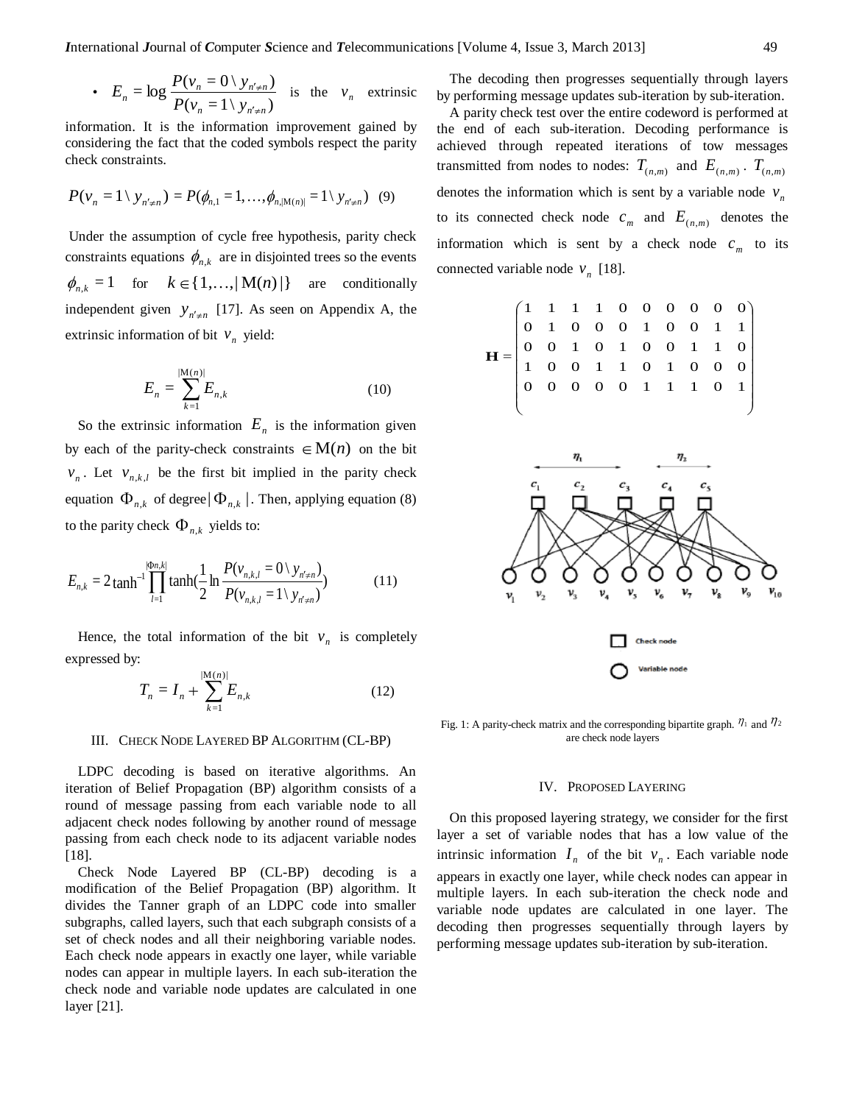• 
$$
E_n = \log \frac{P(v_n = 0 \setminus y_{n' \neq n})}{P(v_n = 1 \setminus y_{n' \neq n})}
$$
 is the  $v_n$  extrinsic

information. It is the information improvement gained by considering the fact that the coded symbols respect the parity check constraints.

$$
P(\mathbf{v}_n = 1 \setminus \mathbf{y}_{n' \neq n}) = P(\phi_{n,1} = 1, \ldots, \phi_{n,|\mathbf{M}(n)|} = 1 \setminus \mathbf{y}_{n' \neq n}) \quad (9)
$$

Under the assumption of cycle free hypothesis, parity check constraints equations  $\phi_{n,k}$  are in disjointed trees so the events  $h_{n,k} = 1$  for  $k \in \{1,...,|M(n)|\}$  are conditionally independent given  $y_{n' \neq n}$  [17]. As seen on Appendix A, the extrinsic information of bit  $v_n$  yield:

$$
E_n = \sum_{k=1}^{|M(n)|} E_{n,k}
$$
 (10)

So the extrinsic information  $E_n$  is the information given by each of the parity-check constraints  $\in M(n)$  on the bit  $v_n$ . Let  $v_{n,k,l}$  be the first bit implied in the parity check equation  $\Phi_{n,k}$  of degree  $|\Phi_{n,k}|$ . Then, applying equation (8) to the parity check  $\Phi_{n,k}$  yields to:

$$
E_{n,k} = 2 \tanh^{-1} \prod_{l=1}^{| \Phi n,k |} \tanh(\frac{1}{2} \ln \frac{P(v_{n,k,l} = 0 \setminus y_{n' \neq n})}{P(v_{n,k,l} = 1 \setminus y_{n' \neq n})})
$$
(11)

Hence, the total information of the bit  $v_n$  is completely expressed by:

$$
T_n = I_n + \sum_{k=1}^{|M(n)|} E_{n,k}
$$
 (12)

#### III. CHECK NODE LAYERED BP ALGORITHM (CL-BP)

LDPC decoding is based on iterative algorithms. An iteration of Belief Propagation (BP) algorithm consists of a round of message passing from each variable node to all adjacent check nodes following by another round of message passing from each check node to its adjacent variable nodes [18].

Check Node Layered BP (CL-BP) decoding is a modification of the Belief Propagation (BP) algorithm. It divides the Tanner graph of an LDPC code into smaller subgraphs, called layers, such that each subgraph consists of a set of check nodes and all their neighboring variable nodes. Each check node appears in exactly one layer, while variable nodes can appear in multiple layers. In each sub-iteration the check node and variable node updates are calculated in one layer [21].

The decoding then progresses sequentially through layers by performing message updates sub-iteration by sub-iteration.

A parity check test over the entire codeword is performed at the end of each sub-iteration. Decoding performance is achieved through repeated iterations of tow messages transmitted from nodes to nodes:  $T_{(n,m)}$  and  $E_{(n,m)}$ .  $T_{(n,m)}$ denotes the information which is sent by a variable node  $v_n$ to its connected check node  $c_m$  and  $E_{(n,m)}$  denotes the information which is sent by a check node  $c_m$  to its connected variable node  $v_n$  [18].



Fig. 1: A parity-check matrix and the corresponding bipartite graph.  $\eta_1$  and  $\eta_2$ are check node layers

#### IV. PROPOSED LAYERING

On this proposed layering strategy, we consider for the first layer a set of variable nodes that has a low value of the intrinsic information  $I_n$  of the bit  $v_n$ . Each variable node appears in exactly one layer, while check nodes can appear in multiple layers. In each sub-iteration the check node and variable node updates are calculated in one layer. The decoding then progresses sequentially through layers by performing message updates sub-iteration by sub-iteration.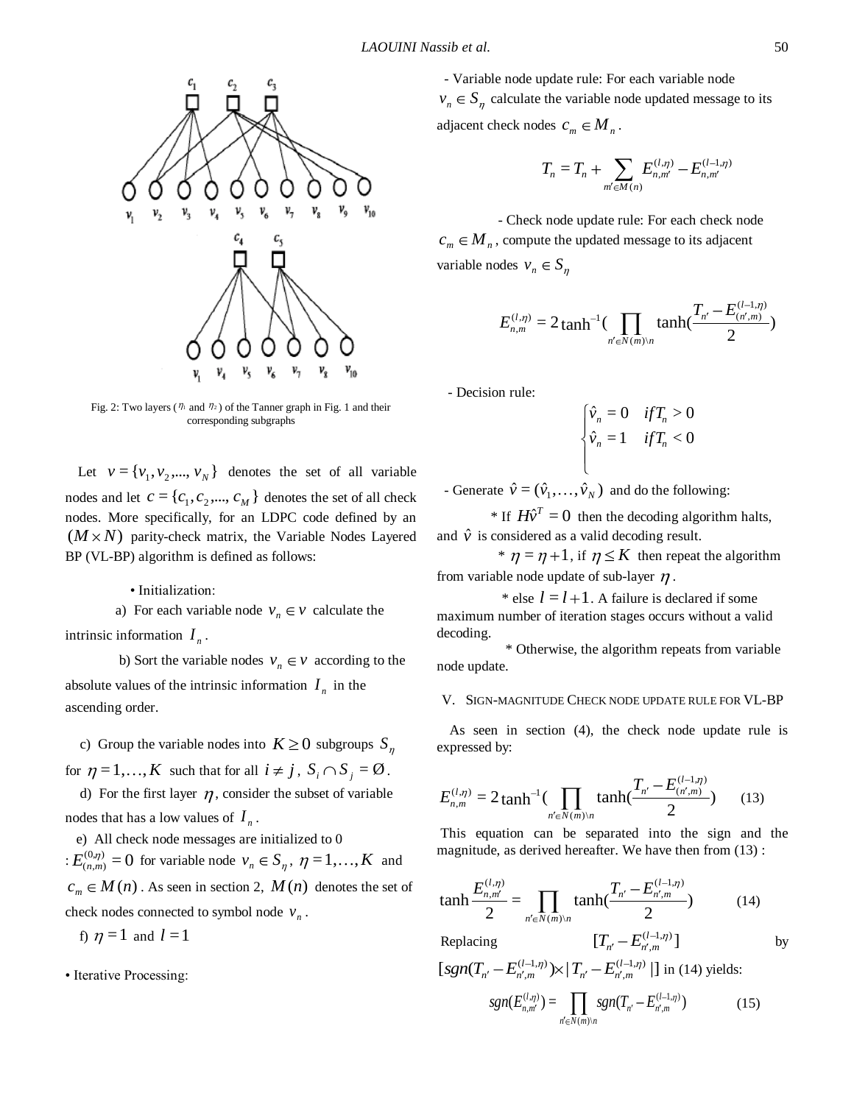

Fig. 2: Two layers ( $\eta_1$  and  $\eta_2$ ) of the Tanner graph in Fig. 1 and their corresponding subgraphs

Let  $v = \{v_1, v_2, ..., v_N\}$  denotes the set of all variable nodes and let  $c = \{c_1, c_2, ..., c_M\}$  denotes the set of all check nodes. More specifically, for an LDPC code defined by an  $(M \times N)$  parity-check matrix, the Variable Nodes Layered BP (VL-BP) algorithm is defined as follows:

### • Initialization:

a) For each variable node  $v_n \in V$  calculate the intrinsic information  $I_n$ .

b) Sort the variable nodes  $v_n \in V$  according to the absolute values of the intrinsic information  $I_n$  in the ascending order.

c) Group the variable nodes into  $K \geq 0$  subgroups S for  $\eta = 1, \ldots, K$  such that for all  $i \neq j$ ,  $S_i \cap S_j = \emptyset$ .

d) For the first layer  $\eta$ , consider the subset of variable nodes that has a low values of  $I_n$ .

 e) All check node messages are initialized to 0  $E_{(n,m)}^{(0,\eta)} = 0$  for variable node  $v_n \in S_\eta$ ,  $\eta = 1,...,K$  and  $c_m \in M(n)$ . As seen in section 2,  $M(n)$  denotes the set of check nodes connected to symbol node  $v_n$ .

f)  $\eta = 1$  and  $l = 1$ 

• Iterative Processing:

- Variable node update rule: For each variable node  $v_n \in S_n$  calculate the variable node updated message to its adjacent check nodes  $c_m \in M_n$ .

$$
T_n = T_n + \sum_{m' \in M(n)} E_{n,m'}^{(l,\eta)} - E_{n,m'}^{(l-1,\eta)}
$$

 - Check node update rule: For each check node  $c_m \in M_n$ , compute the updated message to its adjacent variable nodes  $v_n \in S$ 

$$
E_{n,m}^{(1,\eta)} = 2 \tanh^{-1}(\prod_{n' \in N(m)\setminus n} \tanh(\frac{T_{n'} - E_{(n',m)}^{(1-1,\eta)}}{2})
$$

- Decision rule:

$$
\begin{cases} \hat{v}_n = 0 & \text{if } T_n > 0 \\ \hat{v}_n = 1 & \text{if } T_n < 0 \end{cases}
$$

- Generate  $\hat{v} = (\hat{v}_1, ..., \hat{v}_N)$  and do the following:

\* If  $H\hat{v}^T = 0$  then the decoding algorithm halts, and  $\hat{v}$  is considered as a valid decoding result.

\*  $\eta = \eta + 1$ , if  $\eta \leq K$  then repeat the algorithm from variable node update of sub-layer  $\eta$ .

\* else  $l = l + 1$ . A failure is declared if some maximum number of iteration stages occurs without a valid decoding.

 \* Otherwise, the algorithm repeats from variable node update.

## V. SIGN-MAGNITUDE CHECK NODE UPDATE RULE FOR VL-BP

As seen in section (4), the check node update rule is expressed by:

$$
E_{n,m}^{(l,\eta)} = 2 \tanh^{-1} \left( \prod_{n' \in N(m)\backslash n} \tanh\left(\frac{T_{n'} - E_{(n',m)}^{(l-1,\eta)}}{2}\right) \right) \tag{13}
$$

This equation can be separated into the sign and the magnitude, as derived hereafter. We have then from (13) :

$$
\tanh \frac{E_{n,m'}^{(l,\eta)}}{2} = \prod_{n' \in N(m)\setminus n} \tanh(\frac{T_{n'} - E_{n',m}^{(l-1,\eta)}}{2})
$$
(14)  
Replacing 
$$
[T_{n'} - E_{n',m}^{(l-1,\eta)}]
$$

Replacing

by

$$
[sgn(T_{n'} - E_{n',m}^{(l-1,\eta)}) \times | T_{n'} - E_{n',m}^{(l-1,\eta)} | ] \text{ in (14) yields:}
$$

$$
sgn(E_{n,m'}^{(l,\eta)}) = \prod_{m'} sgn(T_{n'} - E_{n',m'}^{(l-1,\eta)}) \qquad (15)
$$

 $(m)$ 

 $n \in N(m) \setminus n$ 

,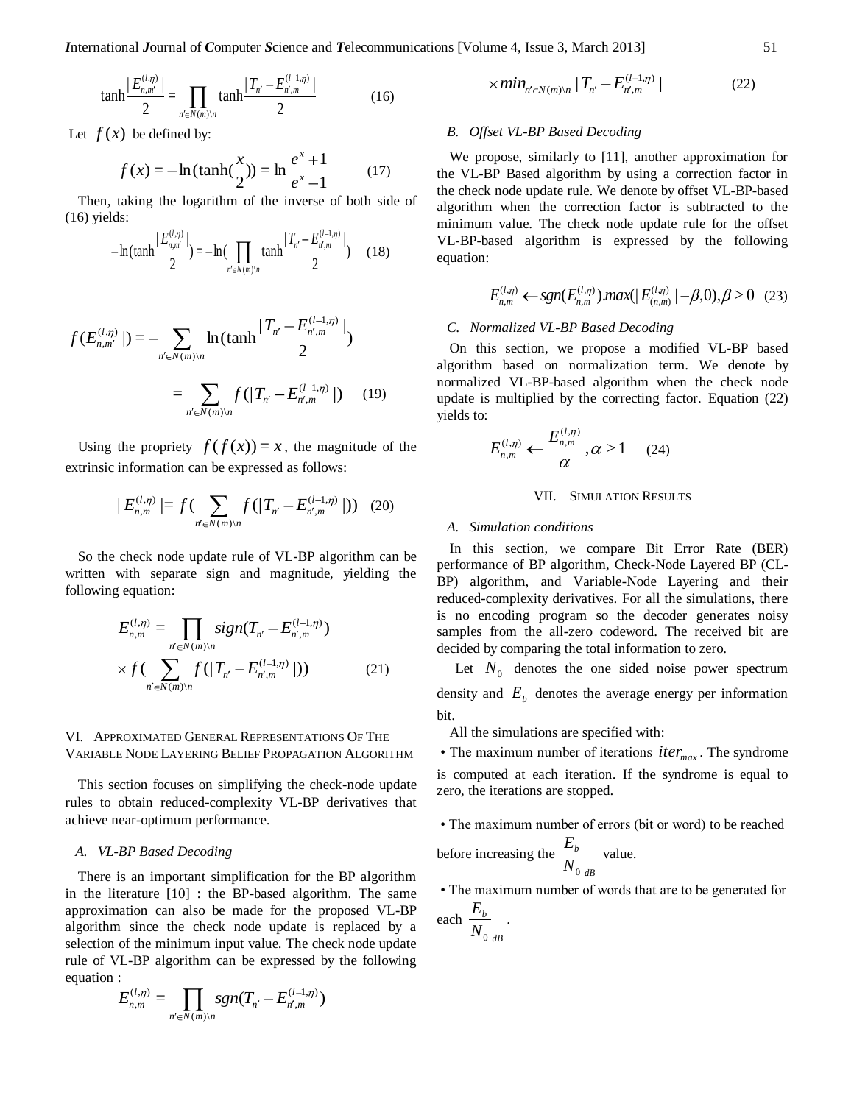$$
\tanh\left|\frac{E_{n,m'}^{(l,\eta)}}{2}\right| = \prod_{n' \in N(m)|n} \tanh\left|\frac{T_{n'} - E_{n',m}^{(l-1,\eta)}}{2}\right|
$$
(16)

Let  $f(x)$  be defined by:

$$
f(x) = -\ln(\tanh(\frac{x}{2})) = \ln\frac{e^x + 1}{e^x - 1}
$$
 (17)

Then, taking the logarithm of the inverse of both side of (16) yields:

$$
-\ln(\tanh\frac{|E_{n,m'}^{(l,\eta)}|}{2}) = -\ln(\prod_{n'\in N(m)\setminus n}\tanh\frac{|T_{n'}-E_{n',m}^{(l-1,\eta)}|}{2})\tag{18}
$$

$$
f(E_{n,m'}^{(l,\eta)}) = -\sum_{n' \in N(m)\backslash n} \ln(\tanh\frac{|T_{n'} - E_{n',m}^{(l-1,\eta)}|}{2})
$$

$$
= \sum_{n' \in N(m)\backslash n} f(|T_{n'} - E_{n',m}^{(l-1,\eta)}|) \qquad (19)
$$

Using the propriety  $f(f(x)) = x$ , the magnitude of the extrinsic information can be expressed as follows:

$$
|E_{n,m}^{(l,\eta)}| = f\left(\sum_{n' \in N(m)\backslash n} f(|T_{n'} - E_{n',m}^{(l-1,\eta)}|)\right) (20)
$$

So the check node update rule of VL-BP algorithm can be written with separate sign and magnitude, yielding the following equation:

$$
E_{n,m}^{(l,\eta)} = \prod_{n' \in N(m)\backslash n} sign(T_{n'} - E_{n',m}^{(l-1,\eta)})
$$
  
 
$$
\times f(\sum_{n' \in N(m)\backslash n} f(|T_{n'} - E_{n',m}^{(l-1,\eta)}|))
$$
 (21)

## VI. APPROXIMATED GENERAL REPRESENTATIONS OF THE VARIABLE NODE LAYERING BELIEF PROPAGATION ALGORITHM

This section focuses on simplifying the check-node update rules to obtain reduced-complexity VL-BP derivatives that achieve near-optimum performance.

#### *A. VL-BP Based Decoding*

There is an important simplification for the BP algorithm in the literature [10] : the BP-based algorithm. The same approximation can also be made for the proposed VL-BP algorithm since the check node update is replaced by a selection of the minimum input value. The check node update rule of VL-BP algorithm can be expressed by the following equation :

$$
E_{n,m}^{(l,\eta)} = \prod_{n' \in N(m)\backslash n} sgn(T_{n'} - E_{n',m}^{(l-1,\eta)})
$$

$$
\times \min_{n' \in N(m)\backslash n} |T_{n'} - E_{n',m}^{(l-1,\eta)}|
$$
 (22)

#### *B. Offset VL-BP Based Decoding*

We propose, similarly to [11], another approximation for the VL-BP Based algorithm by using a correction factor in the check node update rule. We denote by offset VL-BP-based algorithm when the correction factor is subtracted to the minimum value. The check node update rule for the offset VL-BP-based algorithm is expressed by the following equation:

$$
E_{n,m}^{(l,\eta)} \leftarrow \text{sgn}(E_{n,m}^{(l,\eta)}) \text{max}(|E_{(n,m)}^{(l,\eta)}| - \beta, 0), \beta > 0 \quad (23)
$$

### *C. Normalized VL-BP Based Decoding*

On this section, we propose a modified VL-BP based algorithm based on normalization term. We denote by normalized VL-BP-based algorithm when the check node update is multiplied by the correcting factor. Equation (22) yields to:

$$
E_{n,m}^{(l,\eta)} \leftarrow \frac{E_{n,m}^{(l,\eta)}}{\alpha}, \alpha > 1 \qquad (24)
$$

#### VII. SIMULATION RESULTS

#### *A. Simulation conditions*

In this section, we compare Bit Error Rate (BER) performance of BP algorithm, Check-Node Layered BP (CL-BP) algorithm, and Variable-Node Layering and their reduced-complexity derivatives. For all the simulations, there is no encoding program so the decoder generates noisy samples from the all-zero codeword. The received bit are decided by comparing the total information to zero.

Let  $N_0$  denotes the one sided noise power spectrum density and  $E_b$  denotes the average energy per information bit.

All the simulations are specified with:

- The maximum number of iterations  $iter_{max}$ . The syndrome is computed at each iteration. If the syndrome is equal to zero, the iterations are stopped.
- The maximum number of errors (bit or word) to be reached before increasing the *dB b N E* 0 value.
- The maximum number of words that are to be generated for each  $\frac{E_b}{\sqrt{2}}$ .

$$
\begin{array}{c}\nN_{0,dB}\n\end{array}
$$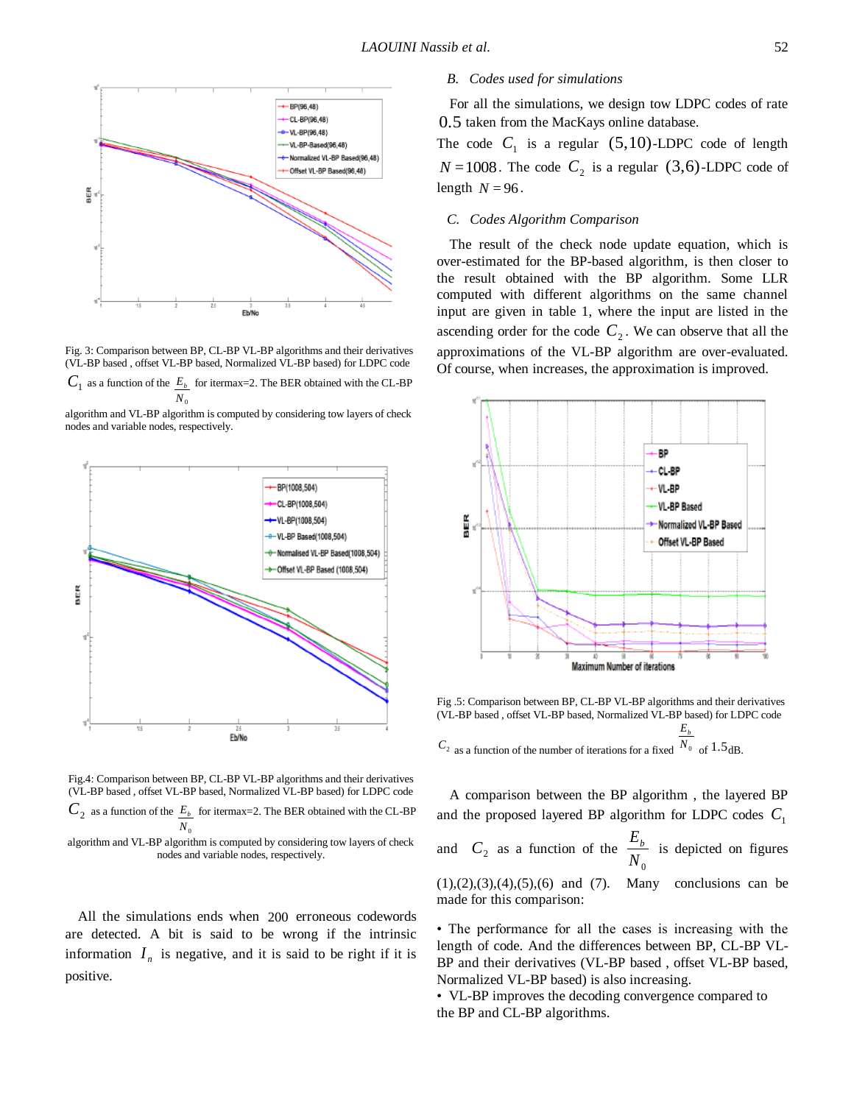

Fig. 3: Comparison between BP, CL-BP VL-BP algorithms and their derivatives (VL-BP based , offset VL-BP based, Normalized VL-BP based) for LDPC code

 $C_1$  as a function of the  $E_b$  for itermax=2. The BER obtained with the CL-BP *N*<sup>0</sup>

algorithm and VL-BP algorithm is computed by considering tow layers of check nodes and variable nodes, respectively.



Fig.4: Comparison between BP, CL-BP VL-BP algorithms and their derivatives (VL-BP based , offset VL-BP based, Normalized VL-BP based) for LDPC code  $C_2$  as a function of the  $E_b$  for itermax=2. The BER obtained with the CL-BP  $N<sub>0</sub>$ 

algorithm and VL-BP algorithm is computed by considering tow layers of check nodes and variable nodes, respectively.

All the simulations ends when 200 erroneous codewords are detected. A bit is said to be wrong if the intrinsic information  $I_n$  is negative, and it is said to be right if it is positive.

## *B. Codes used for simulations*

For all the simulations, we design tow LDPC codes of rate 0.5 taken from the MacKays online database.

The code  $C_1$  is a regular (5,10)-LDPC code of length  $N = 1008$ . The code  $C_2$  is a regular (3,6)-LDPC code of length  $N = 96$ .

#### *C. Codes Algorithm Comparison*

The result of the check node update equation, which is over-estimated for the BP-based algorithm, is then closer to the result obtained with the BP algorithm. Some LLR computed with different algorithms on the same channel input are given in table 1, where the input are listed in the ascending order for the code  $C_2$ . We can observe that all the approximations of the VL-BP algorithm are over-evaluated. Of course, when increases, the approximation is improved.



Fig .5: Comparison between BP, CL-BP VL-BP algorithms and their derivatives (VL-BP based , offset VL-BP based, Normalized VL-BP based) for LDPC code *Eb*

 $C_2$  as a function of the number of iterations for a fixed  $N_0$  of 1.5 dB.

A comparison between the BP algorithm , the layered BP and the proposed layered BP algorithm for LDPC codes  $C_1$ and  $C_2$  as a function of the  $N^{\text{}}_{0}$  $\frac{E_b}{\sqrt{2\pi}}$  is depicted on figures  $(1), (2), (3), (4), (5), (6)$  and  $(7)$ . Many conclusions can be made for this comparison:

• The performance for all the cases is increasing with the length of code. And the differences between BP, CL-BP VL-BP and their derivatives (VL-BP based, offset VL-BP based, Normalized VL-BP based) is also increasing.

• VL-BP improves the decoding convergence compared to the BP and CL-BP algorithms.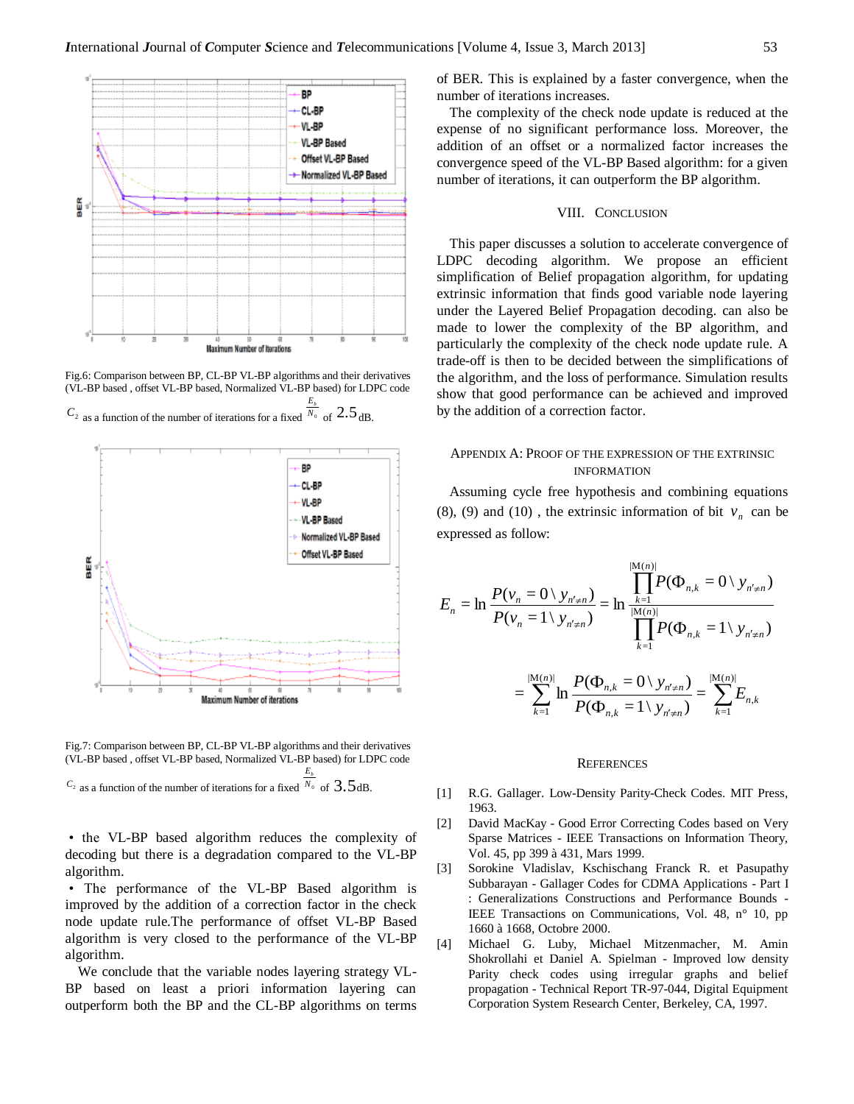

Fig.6: Comparison between BP, CL-BP VL-BP algorithms and their derivatives (VL-BP based , offset VL-BP based, Normalized VL-BP based) for LDPC code

*E<sup>b</sup>*

 $C_2$  as a function of the number of iterations for a fixed  $\sqrt{N_0}$ of  $2.5_{dB}$ .



Fig.7: Comparison between BP, CL-BP VL-BP algorithms and their derivatives (VL-BP based , offset VL-BP based, Normalized VL-BP based) for LDPC code

*E<sup>b</sup>*

 $C_2$  as a function of the number of iterations for a fixed  $\sqrt[N]{\ }$  of 3.5dB.

• the VL-BP based algorithm reduces the complexity of decoding but there is a degradation compared to the VL-BP algorithm.

• The performance of the VL-BP Based algorithm is improved by the addition of a correction factor in the check node update rule.The performance of offset VL-BP Based algorithm is very closed to the performance of the VL-BP algorithm.

We conclude that the variable nodes layering strategy VL-BP based on least a priori information layering can outperform both the BP and the CL-BP algorithms on terms of BER. This is explained by a faster convergence, when the number of iterations increases.

The complexity of the check node update is reduced at the expense of no significant performance loss. Moreover, the addition of an offset or a normalized factor increases the convergence speed of the VL-BP Based algorithm: for a given number of iterations, it can outperform the BP algorithm.

#### VIII. CONCLUSION

This paper discusses a solution to accelerate convergence of LDPC decoding algorithm. We propose an efficient simplification of Belief propagation algorithm, for updating extrinsic information that finds good variable node layering under the Layered Belief Propagation decoding. can also be made to lower the complexity of the BP algorithm, and particularly the complexity of the check node update rule. A trade-off is then to be decided between the simplifications of the algorithm, and the loss of performance. Simulation results show that good performance can be achieved and improved by the addition of a correction factor.

## APPENDIX A: PROOF OF THE EXPRESSION OF THE EXTRINSIC INFORMATION

Assuming cycle free hypothesis and combining equations (8), (9) and (10), the extrinsic information of bit  $v_n$  can be expressed as follow:

$$
E_n = \ln \frac{P(v_n = 0 \setminus y_{n' \neq n})}{P(v_n = 1 \setminus y_{n' \neq n})} = \ln \frac{\prod_{k=1}^{|M(n)|} P(\Phi_{n,k} = 0 \setminus y_{n' \neq n})}{\prod_{k=1}^{|M(n)|} P(\Phi_{n,k} = 1 \setminus y_{n' \neq n})}
$$

$$
= \sum_{k=1}^{|M(n)|} \ln \frac{P(\Phi_{n,k} = 0 \setminus y_{n' \neq n})}{P(\Phi_{n,k} = 0 \setminus y_{n' \neq n})} = \sum_{k=1}^{|M(n)|} E_{n,k}
$$

# **REFERENCES**

 $P(\Phi_{n,k} = 1 \mid y)$ 

 $(\Phi_{n,k} = 1 \setminus y_{n' \neq n})$ 

*k*

 $=1$ 

 $n, k - 1 \backslash y_{n' \neq n}$ , k

 $k = 1 \vee y_{n' \neq n}$   $k = 1$ 

*n k*

,

- [1] R.G. Gallager. Low-Density Parity-Check Codes. MIT Press, 1963.
- [2] David MacKay Good Error Correcting Codes based on Very Sparse Matrices - IEEE Transactions on Information Theory, Vol. 45, pp 399 à 431, Mars 1999.
- [3] Sorokine Vladislav, Kschischang Franck R. et Pasupathy Subbarayan - Gallager Codes for CDMA Applications - Part I : Generalizations Constructions and Performance Bounds - IEEE Transactions on Communications, Vol. 48, n° 10, pp 1660 à 1668, Octobre 2000.
- [4] Michael G. Luby, Michael Mitzenmacher, M. Amin Shokrollahi et Daniel A. Spielman - Improved low density Parity check codes using irregular graphs and belief propagation - Technical Report TR-97-044, Digital Equipment Corporation System Research Center, Berkeley, CA, 1997.